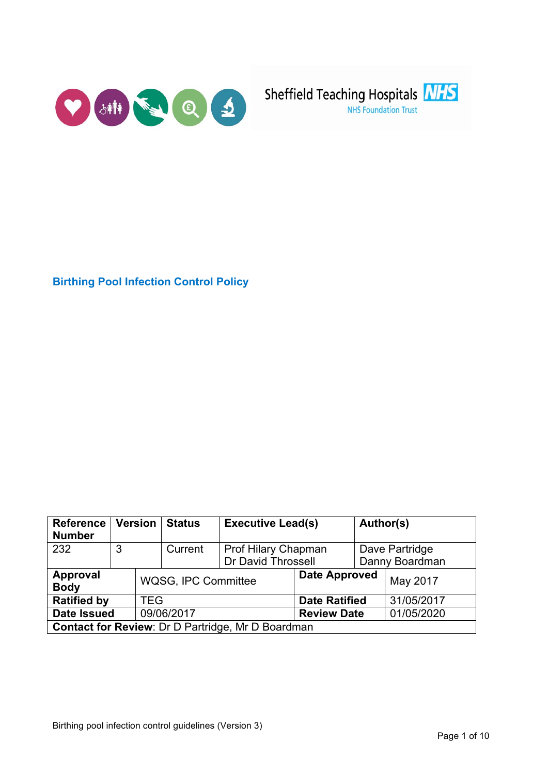



**Birthing Pool Infection Control Policy**

| <b>Reference</b><br><b>Number</b>                 | <b>Version</b> |                     | <b>Status</b> | <b>Executive Lead(s)</b> |                      | Author(s)      |                |  |
|---------------------------------------------------|----------------|---------------------|---------------|--------------------------|----------------------|----------------|----------------|--|
| 232                                               | 3              |                     | Current       | Prof Hilary Chapman      |                      | Dave Partridge |                |  |
|                                                   |                |                     |               | Dr David Throssell       |                      |                | Danny Boardman |  |
| <b>Approval</b><br><b>Body</b>                    |                | WQSG, IPC Committee |               |                          | <b>Date Approved</b> |                | May 2017       |  |
| <b>Ratified by</b>                                |                | TEG                 |               |                          | <b>Date Ratified</b> |                | 31/05/2017     |  |
| <b>Date Issued</b>                                |                | 09/06/2017          |               |                          | <b>Review Date</b>   |                | 01/05/2020     |  |
| Contact for Review: Dr D Partridge, Mr D Boardman |                |                     |               |                          |                      |                |                |  |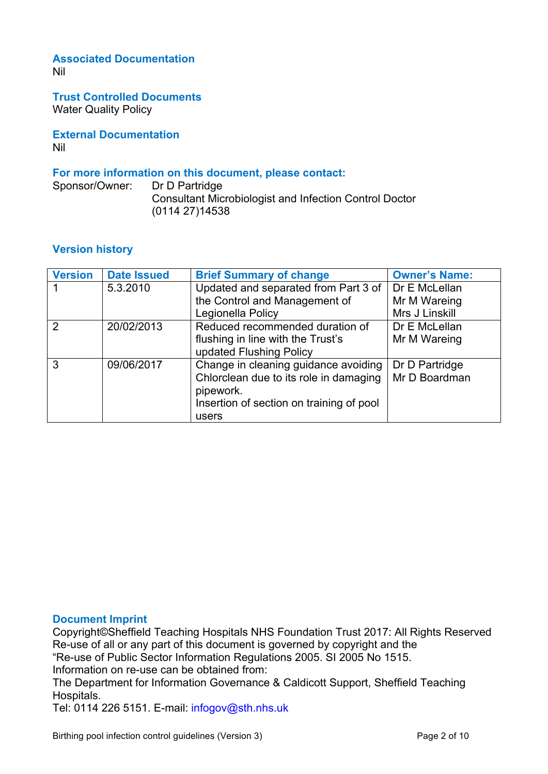# **Associated Documentation**

Nil

**Trust Controlled Documents**

Water Quality Policy

**External Documentation** Nil

#### **For more information on this document, please contact:**

Sponsor/Owner: Dr D Partridge Consultant Microbiologist and Infection Control Doctor (0114 27)14538

#### **Version history**

| <b>Version</b> | <b>Date Issued</b> | <b>Brief Summary of change</b>           | <b>Owner's Name:</b> |
|----------------|--------------------|------------------------------------------|----------------------|
|                | 5.3.2010           | Updated and separated from Part 3 of     | Dr E McLellan        |
|                |                    | the Control and Management of            | Mr M Wareing         |
|                |                    | Legionella Policy                        | Mrs J Linskill       |
| $\mathcal{P}$  | 20/02/2013         | Reduced recommended duration of          | Dr E McLellan        |
|                |                    | flushing in line with the Trust's        | Mr M Wareing         |
|                |                    | updated Flushing Policy                  |                      |
| 3              | 09/06/2017         | Change in cleaning guidance avoiding     | Dr D Partridge       |
|                |                    | Chlorclean due to its role in damaging   | Mr D Boardman        |
|                |                    | pipework.                                |                      |
|                |                    | Insertion of section on training of pool |                      |
|                |                    | users                                    |                      |

#### **Document Imprint**

Copyright©Sheffield Teaching Hospitals NHS Foundation Trust 2017: All Rights Reserved Re-use of all or any part of this document is governed by copyright and the "Re-use of Public Sector Information Regulations 2005. SI 2005 No 1515.

Information on re-use can be obtained from:

The Department for Information Governance & Caldicott Support, Sheffield Teaching Hospitals.

Tel: 0114 226 5151. E-mail: infogov@sth.nhs.uk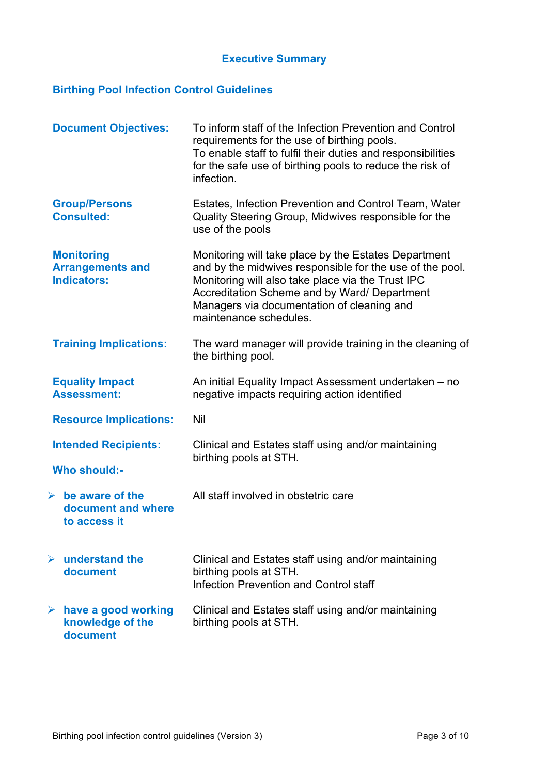## **Executive Summary**

## **Birthing Pool Infection Control Guidelines**

| <b>Document Objectives:</b>                                                    | To inform staff of the Infection Prevention and Control<br>requirements for the use of birthing pools.<br>To enable staff to fulfil their duties and responsibilities<br>for the safe use of birthing pools to reduce the risk of<br>infection.                                               |  |  |
|--------------------------------------------------------------------------------|-----------------------------------------------------------------------------------------------------------------------------------------------------------------------------------------------------------------------------------------------------------------------------------------------|--|--|
| <b>Group/Persons</b><br><b>Consulted:</b>                                      | Estates, Infection Prevention and Control Team, Water<br>Quality Steering Group, Midwives responsible for the<br>use of the pools                                                                                                                                                             |  |  |
| <b>Monitoring</b><br><b>Arrangements and</b><br><b>Indicators:</b>             | Monitoring will take place by the Estates Department<br>and by the midwives responsible for the use of the pool.<br>Monitoring will also take place via the Trust IPC<br>Accreditation Scheme and by Ward/ Department<br>Managers via documentation of cleaning and<br>maintenance schedules. |  |  |
| <b>Training Implications:</b>                                                  | The ward manager will provide training in the cleaning of<br>the birthing pool.                                                                                                                                                                                                               |  |  |
| <b>Equality Impact</b><br><b>Assessment:</b>                                   | An initial Equality Impact Assessment undertaken – no<br>negative impacts requiring action identified                                                                                                                                                                                         |  |  |
| <b>Resource Implications:</b>                                                  | <b>Nil</b>                                                                                                                                                                                                                                                                                    |  |  |
| <b>Intended Recipients:</b><br><b>Who should:-</b>                             | Clinical and Estates staff using and/or maintaining<br>birthing pools at STH.                                                                                                                                                                                                                 |  |  |
| $\blacktriangleright$<br>be aware of the<br>document and where<br>to access it | All staff involved in obstetric care                                                                                                                                                                                                                                                          |  |  |
| $\blacktriangleright$<br>understand the<br>document                            | Clinical and Estates staff using and/or maintaining<br>birthing pools at STH.<br>Infection Prevention and Control staff                                                                                                                                                                       |  |  |
| have a good working<br>$\blacktriangleright$<br>knowledge of the<br>document   | Clinical and Estates staff using and/or maintaining<br>birthing pools at STH.                                                                                                                                                                                                                 |  |  |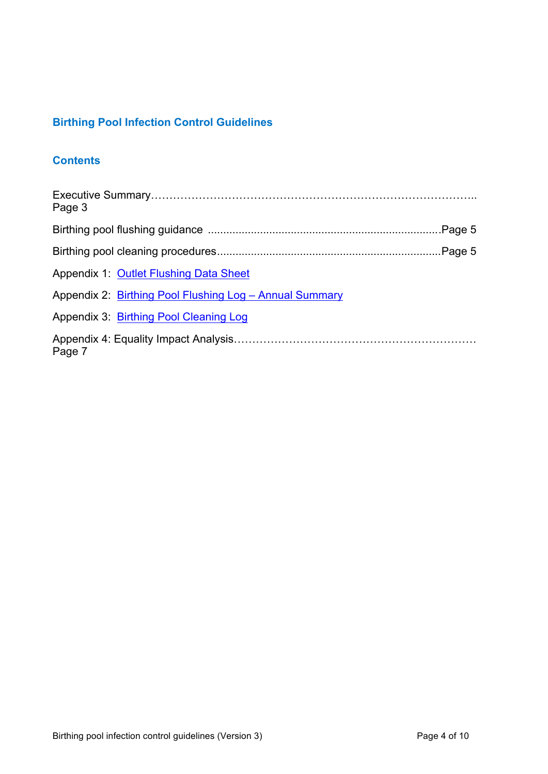## **Birthing Pool Infection Control Guidelines**

## **Contents**

| Page 3                                                  |  |
|---------------------------------------------------------|--|
|                                                         |  |
|                                                         |  |
| <b>Appendix 1 Outlet Flushing Data Sheet</b>            |  |
| Appendix 2: Birthing Pool Flushing Log - Annual Summary |  |
| Appendix 3 Birthing Pool Cleaning Log                   |  |
| Page 7                                                  |  |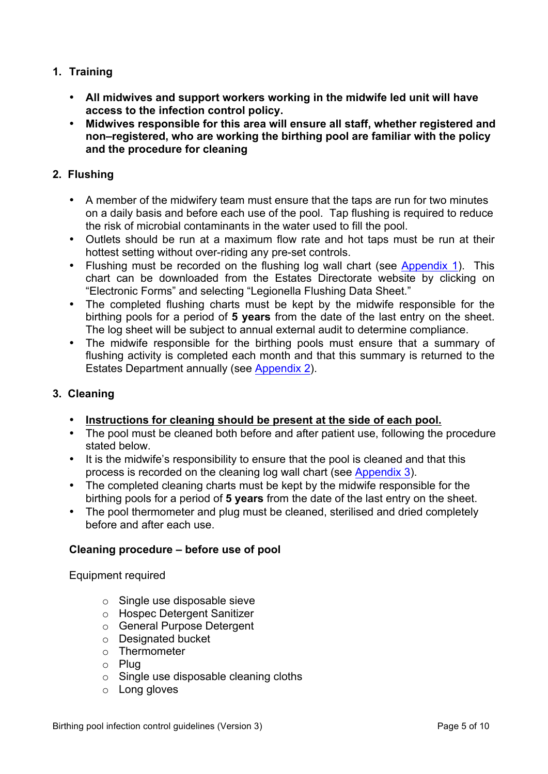- **1. Training**
	- **All midwives and support workers working in the midwife led unit will have access to the infection control policy.**
	- **Midwives responsible for this area will ensure all staff, whether registered and non–registered, who are working the birthing pool are familiar with the policy and the procedure for cleaning**

#### **2. Flushing**

- A member of the midwifery team must ensure that the taps are run for two minutes on a daily basis and before each use of the pool. Tap flushing is required to reduce the risk of microbial contaminants in the water used to fill the pool.
- Outlets should be run at a maximum flow rate and hot taps must be run at their hottest setting without over-riding any pre-set controls.
- Flushing must be recorded on the flushing log wall chart (see Appendix 1). This chart can be downloaded from the Estates Directorate website by clicking on "Electronic Forms" and selecting "Legionella Flushing Data Sheet."
- The completed flushing charts must be kept by the midwife responsible for the birthing pools for a period of **5 years** from the date of the last entry on the sheet. The log sheet will be subject to annual external audit to determine compliance.
- The midwife responsible for the birthing pools must ensure that a summary of flushing activity is completed each month and that this summary is returned to the Estates Department annually (see Appendix 2).

#### **3. Cleaning**

- **Instructions for cleaning should be present at the side of each pool.**
- The pool must be cleaned both before and after patient use, following the procedure stated below.
- It is the midwife's responsibility to ensure that the pool is cleaned and that this process is recorded on the cleaning log wall chart (see Appendix 3).
- The completed cleaning charts must be kept by the midwife responsible for the birthing pools for a period of **5 years** from the date of the last entry on the sheet.
- The pool thermometer and plug must be cleaned, sterilised and dried completely before and after each use.

#### **Cleaning procedure – before use of pool**

Equipment required

- o Single use disposable sieve
- o Hospec Detergent Sanitizer
- o General Purpose Detergent
- o Designated bucket
- o Thermometer
- o Plug
- o Single use disposable cleaning cloths
- o Long gloves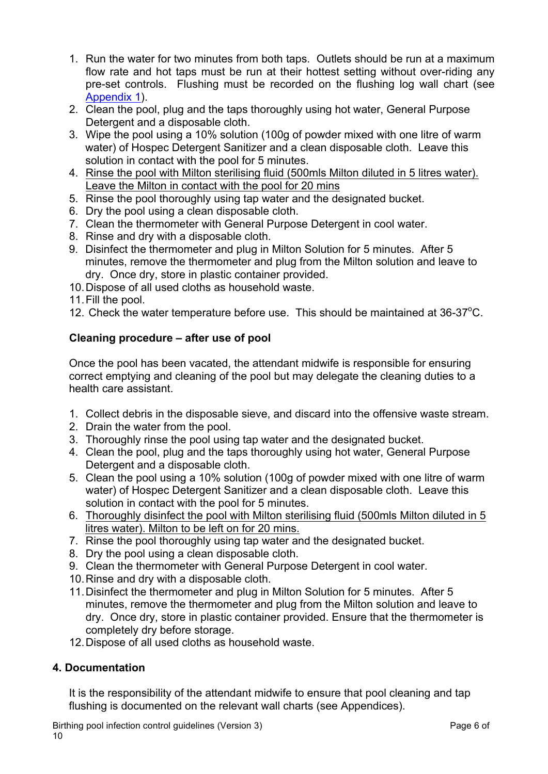- 1. Run the water for two minutes from both taps. Outlets should be run at a maximum flow rate and hot taps must be run at their hottest setting without over-riding any pre-set controls. Flushing must be recorded on the flushing log wall chart (see Appendix 1).
- 2. Clean the pool, plug and the taps thoroughly using hot water, General Purpose Detergent and a disposable cloth.
- 3. Wipe the pool using a 10% solution (100g of powder mixed with one litre of warm water) of Hospec Detergent Sanitizer and a clean disposable cloth. Leave this solution in contact with the pool for 5 minutes.
- 4. Rinse the pool with Milton sterilising fluid (500mls Milton diluted in 5 litres water). Leave the Milton in contact with the pool for 20 mins
- 5. Rinse the pool thoroughly using tap water and the designated bucket.
- 6. Dry the pool using a clean disposable cloth.
- 7. Clean the thermometer with General Purpose Detergent in cool water.
- 8. Rinse and dry with a disposable cloth.
- 9. Disinfect the thermometer and plug in Milton Solution for 5 minutes. After 5 minutes, remove the thermometer and plug from the Milton solution and leave to dry. Once dry, store in plastic container provided.
- 10.Dispose of all used cloths as household waste.
- 11.Fill the pool.
- 12. Check the water temperature before use. This should be maintained at 36-37°C.

#### **Cleaning procedure – after use of pool**

Once the pool has been vacated, the attendant midwife is responsible for ensuring correct emptying and cleaning of the pool but may delegate the cleaning duties to a health care assistant.

- 1. Collect debris in the disposable sieve, and discard into the offensive waste stream.
- 2. Drain the water from the pool.
- 3. Thoroughly rinse the pool using tap water and the designated bucket.
- 4. Clean the pool, plug and the taps thoroughly using hot water, General Purpose Detergent and a disposable cloth.
- 5. Clean the pool using a 10% solution (100g of powder mixed with one litre of warm water) of Hospec Detergent Sanitizer and a clean disposable cloth. Leave this solution in contact with the pool for 5 minutes.
- 6. Thoroughly disinfect the pool with Milton sterilising fluid (500mls Milton diluted in 5 litres water). Milton to be left on for 20 mins.
- 7. Rinse the pool thoroughly using tap water and the designated bucket.
- 8. Dry the pool using a clean disposable cloth.
- 9. Clean the thermometer with General Purpose Detergent in cool water.
- 10.Rinse and dry with a disposable cloth.
- 11.Disinfect the thermometer and plug in Milton Solution for 5 minutes. After 5 minutes, remove the thermometer and plug from the Milton solution and leave to dry. Once dry, store in plastic container provided. Ensure that the thermometer is completely dry before storage.
- 12.Dispose of all used cloths as household waste.

#### **4. Documentation**

It is the responsibility of the attendant midwife to ensure that pool cleaning and tap flushing is documented on the relevant wall charts (see Appendices).